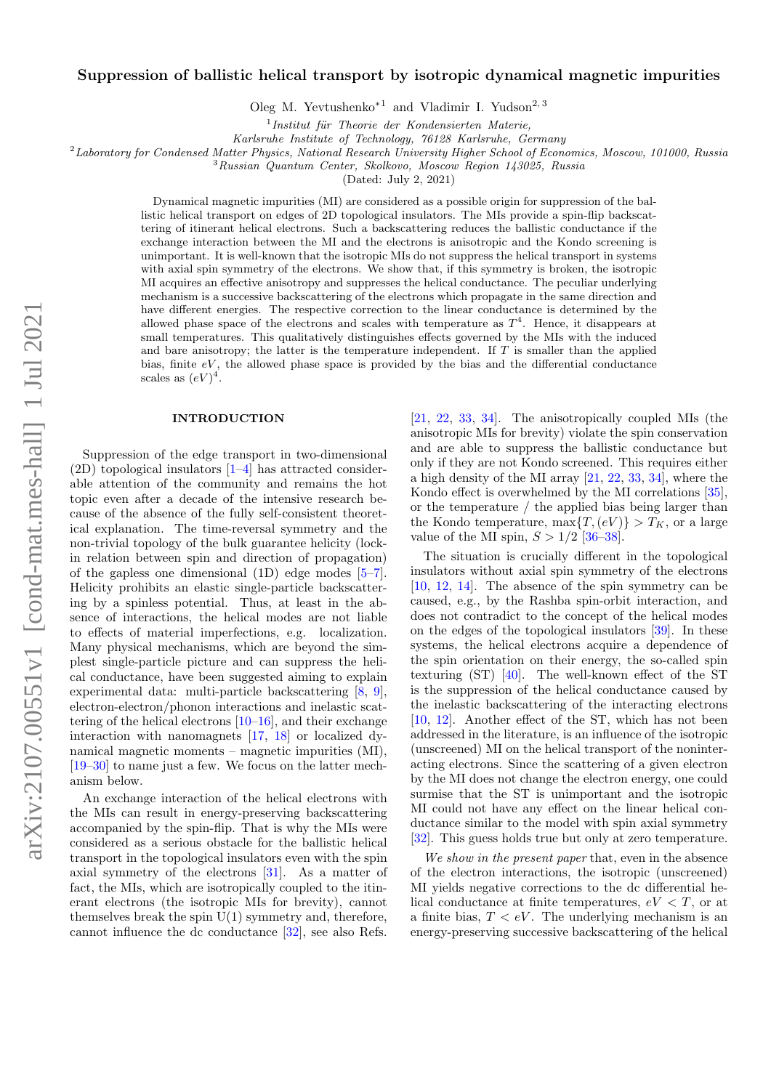# $arXiv:2107.00551v1$  [cond-mat.mes-hall] 1 Jul 2021 arXiv:2107.00551v1 [cond-mat.mes-hall] 1 Jul 2021

# Suppression of ballistic helical transport by isotropic dynamical magnetic impurities

Oleg M. Yevtushenko<sup>∗1</sup> and Vladimir I. Yudson<sup>2, 3</sup>

 $<sup>1</sup>$ Institut für Theorie der Kondensierten Materie,</sup>

Karlsruhe Institute of Technology, 76128 Karlsruhe, Germany

<sup>2</sup>Laboratory for Condensed Matter Physics, National Research University Higher School of Economics, Moscow, 101000, Russia

<sup>3</sup>Russian Quantum Center, Skolkovo, Moscow Region 143025, Russia

(Dated: July 2, 2021)

Dynamical magnetic impurities (MI) are considered as a possible origin for suppression of the ballistic helical transport on edges of 2D topological insulators. The MIs provide a spin-flip backscattering of itinerant helical electrons. Such a backscattering reduces the ballistic conductance if the exchange interaction between the MI and the electrons is anisotropic and the Kondo screening is unimportant. It is well-known that the isotropic MIs do not suppress the helical transport in systems with axial spin symmetry of the electrons. We show that, if this symmetry is broken, the isotropic MI acquires an effective anisotropy and suppresses the helical conductance. The peculiar underlying mechanism is a successive backscattering of the electrons which propagate in the same direction and have different energies. The respective correction to the linear conductance is determined by the allowed phase space of the electrons and scales with temperature as  $T<sup>4</sup>$ . Hence, it disappears at small temperatures. This qualitatively distinguishes effects governed by the MIs with the induced and bare anisotropy; the latter is the temperature independent. If  $T$  is smaller than the applied bias, finite  $eV$ , the allowed phase space is provided by the bias and the differential conductance scales as  $(eV)^4$ .

# **INTRODUCTION**

Suppression of the edge transport in two-dimensional  $(2D)$  topological insulators  $[1-4]$  $[1-4]$  has attracted considerable attention of the community and remains the hot topic even after a decade of the intensive research because of the absence of the fully self-consistent theoretical explanation. The time-reversal symmetry and the non-trivial topology of the bulk guarantee helicity (lockin relation between spin and direction of propagation) of the gapless one dimensional  $(1D)$  edge modes  $[5-7]$  $[5-7]$ . Helicity prohibits an elastic single-particle backscattering by a spinless potential. Thus, at least in the absence of interactions, the helical modes are not liable to effects of material imperfections, e.g. localization. Many physical mechanisms, which are beyond the simplest single-particle picture and can suppress the helical conductance, have been suggested aiming to explain experimental data: multi-particle backscattering [\[8,](#page-5-4) [9\]](#page-5-5), electron-electron/phonon interactions and inelastic scattering of the helical electrons  $[10-16]$  $[10-16]$ , and their exchange interaction with nanomagnets [\[17,](#page-5-8) [18\]](#page-5-9) or localized dynamical magnetic moments – magnetic impurities (MI), [\[19–](#page-5-10)[30\]](#page-5-11) to name just a few. We focus on the latter mechanism below.

An exchange interaction of the helical electrons with the MIs can result in energy-preserving backscattering accompanied by the spin-flip. That is why the MIs were considered as a serious obstacle for the ballistic helical transport in the topological insulators even with the spin axial symmetry of the electrons [\[31\]](#page-5-12). As a matter of fact, the MIs, which are isotropically coupled to the itinerant electrons (the isotropic MIs for brevity), cannot themselves break the spin  $U(1)$  symmetry and, therefore, cannot influence the dc conductance [\[32\]](#page-5-13), see also Refs.

[\[21,](#page-5-14) [22,](#page-5-15) [33,](#page-5-16) [34\]](#page-5-17). The anisotropically coupled MIs (the anisotropic MIs for brevity) violate the spin conservation and are able to suppress the ballistic conductance but only if they are not Kondo screened. This requires either a high density of the MI array [\[21,](#page-5-14) [22,](#page-5-15) [33,](#page-5-16) [34\]](#page-5-17), where the Kondo effect is overwhelmed by the MI correlations [\[35\]](#page-5-18), or the temperature / the applied bias being larger than the Kondo temperature, max $\{T,(eV)\} > T_K$ , or a large value of the MI spin,  $S > 1/2$  [\[36](#page-5-19)[–38\]](#page-6-0).

The situation is crucially different in the topological insulators without axial spin symmetry of the electrons [\[10,](#page-5-6) [12,](#page-5-20) [14\]](#page-5-21). The absence of the spin symmetry can be caused, e.g., by the Rashba spin-orbit interaction, and does not contradict to the concept of the helical modes on the edges of the topological insulators [\[39\]](#page-6-1). In these systems, the helical electrons acquire a dependence of the spin orientation on their energy, the so-called spin texturing (ST) [\[40\]](#page-6-2). The well-known effect of the ST is the suppression of the helical conductance caused by the inelastic backscattering of the interacting electrons [\[10,](#page-5-6) [12\]](#page-5-20). Another effect of the ST, which has not been addressed in the literature, is an influence of the isotropic (unscreened) MI on the helical transport of the noninteracting electrons. Since the scattering of a given electron by the MI does not change the electron energy, one could surmise that the ST is unimportant and the isotropic MI could not have any effect on the linear helical conductance similar to the model with spin axial symmetry [\[32\]](#page-5-13). This guess holds true but only at zero temperature.

We show in the present paper that, even in the absence of the electron interactions, the isotropic (unscreened) MI yields negative corrections to the dc differential helical conductance at finite temperatures,  $eV < T$ , or at a finite bias,  $T < eV$ . The underlying mechanism is an energy-preserving successive backscattering of the helical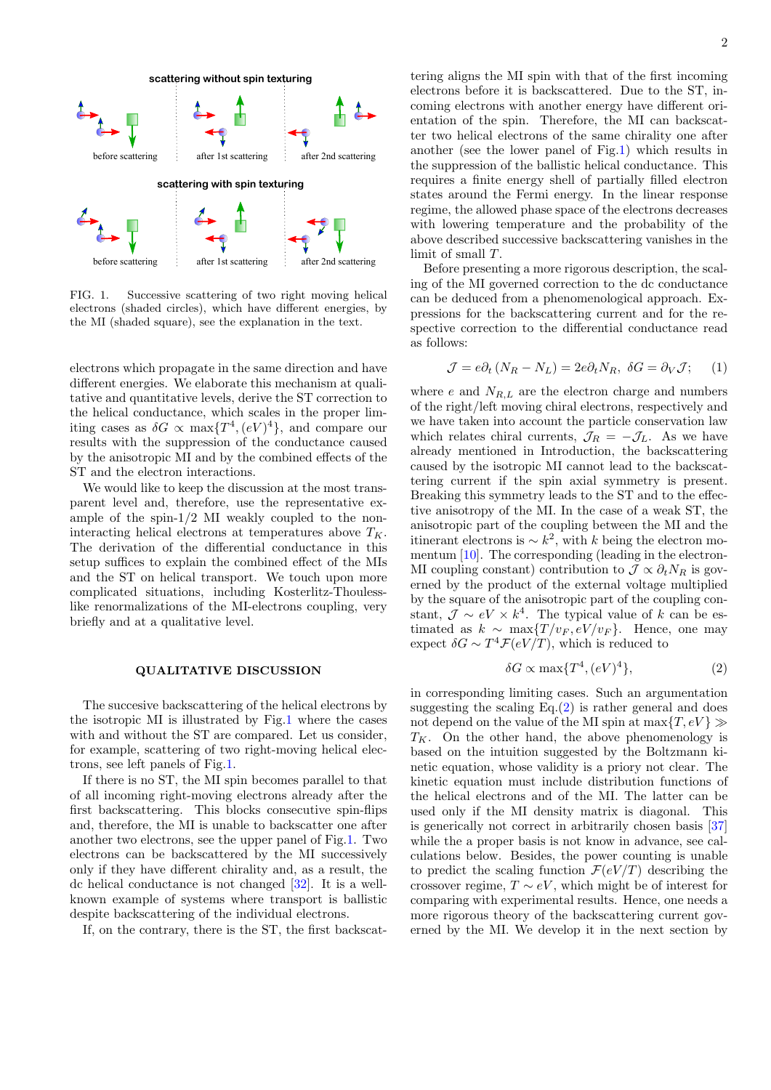

<span id="page-1-0"></span>FIG. 1. Successive scattering of two right moving helical electrons (shaded circles), which have different energies, by the MI (shaded square), see the explanation in the text.

electrons which propagate in the same direction and have different energies. We elaborate this mechanism at qualitative and quantitative levels, derive the ST correction to the helical conductance, which scales in the proper limiting cases as  $\delta G \propto \max\{T^4, (eV)^4\}$ , and compare our results with the suppression of the conductance caused by the anisotropic MI and by the combined effects of the ST and the electron interactions.

We would like to keep the discussion at the most transparent level and, therefore, use the representative example of the spin-1/2 MI weakly coupled to the noninteracting helical electrons at temperatures above  $T_K$ . The derivation of the differential conductance in this setup suffices to explain the combined effect of the MIs and the ST on helical transport. We touch upon more complicated situations, including Kosterlitz-Thoulesslike renormalizations of the MI-electrons coupling, very briefly and at a qualitative level.

### QUALITATIVE DISCUSSION

The succesive backscattering of the helical electrons by the isotropic MI is illustrated by Fig[.1](#page-1-0) where the cases with and without the ST are compared. Let us consider, for example, scattering of two right-moving helical electrons, see left panels of Fig[.1.](#page-1-0)

If there is no ST, the MI spin becomes parallel to that of all incoming right-moving electrons already after the first backscattering. This blocks consecutive spin-flips and, therefore, the MI is unable to backscatter one after another two electrons, see the upper panel of Fig[.1.](#page-1-0) Two electrons can be backscattered by the MI successively only if they have different chirality and, as a result, the dc helical conductance is not changed [\[32\]](#page-5-13). It is a wellknown example of systems where transport is ballistic despite backscattering of the individual electrons.

If, on the contrary, there is the ST, the first backscat-

tering aligns the MI spin with that of the first incoming electrons before it is backscattered. Due to the ST, incoming electrons with another energy have different orientation of the spin. Therefore, the MI can backscatter two helical electrons of the same chirality one after another (see the lower panel of Fig[.1\)](#page-1-0) which results in the suppression of the ballistic helical conductance. This requires a finite energy shell of partially filled electron states around the Fermi energy. In the linear response regime, the allowed phase space of the electrons decreases with lowering temperature and the probability of the above described successive backscattering vanishes in the limit of small T.

Before presenting a more rigorous description, the scaling of the MI governed correction to the dc conductance can be deduced from a phenomenological approach. Expressions for the backscattering current and for the respective correction to the differential conductance read as follows:

<span id="page-1-2"></span>
$$
\mathcal{J} = e\partial_t (N_R - N_L) = 2e\partial_t N_R, \ \delta G = \partial_V \mathcal{J}; \tag{1}
$$

where  $e$  and  $N_{R,L}$  are the electron charge and numbers of the right/left moving chiral electrons, respectively and we have taken into account the particle conservation law which relates chiral currents,  $\mathcal{J}_R = -\mathcal{J}_L$ . As we have already mentioned in Introduction, the backscattering caused by the isotropic MI cannot lead to the backscattering current if the spin axial symmetry is present. Breaking this symmetry leads to the ST and to the effective anisotropy of the MI. In the case of a weak ST, the anisotropic part of the coupling between the MI and the itinerant electrons is  $\sim k^2$ , with k being the electron momentum [\[10\]](#page-5-6). The corresponding (leading in the electron-MI coupling constant) contribution to  $\mathcal{J} \propto \partial_t N_R$  is governed by the product of the external voltage multiplied by the square of the anisotropic part of the coupling constant,  $\mathcal{J} \sim eV \times k^4$ . The typical value of k can be estimated as  $k \sim \max\{T/v_F, eV/v_F\}$ . Hence, one may expect  $\delta G \sim T^4 \mathcal{F}(eV/T)$ , which is reduced to

<span id="page-1-1"></span>
$$
\delta G \propto \max\{T^4, (eV)^4\},\tag{2}
$$

in corresponding limiting cases. Such an argumentation suggesting the scaling  $Eq.(2)$  $Eq.(2)$  is rather general and does not depend on the value of the MI spin at  $\max\{T, eV\} \gg$  $T_K$ . On the other hand, the above phenomenology is based on the intuition suggested by the Boltzmann kinetic equation, whose validity is a priory not clear. The kinetic equation must include distribution functions of the helical electrons and of the MI. The latter can be used only if the MI density matrix is diagonal. This is generically not correct in arbitrarily chosen basis [\[37\]](#page-6-3) while the a proper basis is not know in advance, see calculations below. Besides, the power counting is unable to predict the scaling function  $\mathcal{F}(eV/T)$  describing the crossover regime,  $T \sim eV$ , which might be of interest for comparing with experimental results. Hence, one needs a more rigorous theory of the backscattering current governed by the MI. We develop it in the next section by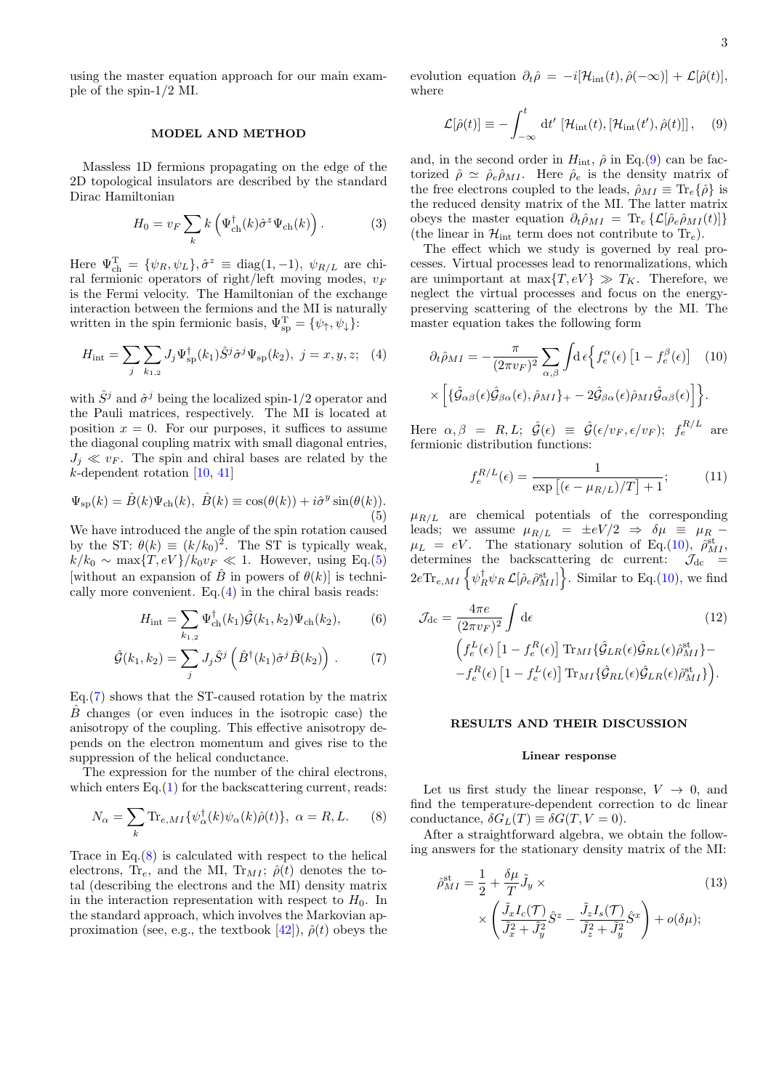using the master equation approach for our main example of the spin-1/2 MI.

# MODEL AND METHOD

Massless 1D fermions propagating on the edge of the 2D topological insulators are described by the standard Dirac Hamiltonian

$$
H_0 = v_F \sum_k k \left( \Psi_{\rm ch}^\dagger(k) \hat{\sigma}^z \Psi_{\rm ch}(k) \right). \tag{3}
$$

Here  $\Psi_{\text{ch}}^{\text{T}} = {\psi_R, \psi_L}, \hat{\sigma}^z \equiv \text{diag}(1, -1), \psi_{R/L}$  are chiral fermionic operators of right/left moving modes,  $v_F$ is the Fermi velocity. The Hamiltonian of the exchange interaction between the fermions and the MI is naturally written in the spin fermionic basis,  $\Psi_{sp}^{T} = {\psi_{\uparrow}, \psi_{\downarrow}}$ :

<span id="page-2-1"></span>
$$
H_{\rm int} = \sum_{j} \sum_{k_{1,2}} J_j \Psi_{\rm sp}^{\dagger}(k_1) \hat{S}^j \hat{\sigma}^j \Psi_{\rm sp}(k_2), \ j = x, y, z; \quad (4)
$$

with  $\hat{S}^j$  and  $\hat{\sigma}^j$  being the localized spin-1/2 operator and the Pauli matrices, respectively. The MI is located at position  $x = 0$ . For our purposes, it suffices to assume the diagonal coupling matrix with small diagonal entries,  $J_j \ll v_F$ . The spin and chiral bases are related by the  $k$ -dependent rotation [\[10,](#page-5-6) [41\]](#page-6-4)

<span id="page-2-0"></span>
$$
\Psi_{\rm sp}(k) = \hat{B}(k)\Psi_{\rm ch}(k), \ \hat{B}(k) \equiv \cos(\theta(k)) + i\hat{\sigma}^y \sin(\theta(k)).
$$
\n(5)

We have introduced the angle of the spin rotation caused by the ST:  $\theta(k) \equiv (k/k_0)^2$ . The ST is typically weak,  $k/k_0 \sim \max\{T, eV\}/k_0v_F \ll 1$ . However, using Eq.[\(5\)](#page-2-0) [without an expansion of  $\hat{B}$  in powers of  $\theta(k)$ ] is technically more convenient. Eq. $(4)$  in the chiral basis reads:

<span id="page-2-2"></span>
$$
H_{\rm int} = \sum_{k_{1,2}} \Psi_{\rm ch}^{\dagger}(k_1) \hat{\mathcal{G}}(k_1, k_2) \Psi_{\rm ch}(k_2), \tag{6}
$$

$$
\hat{\mathcal{G}}(k_1, k_2) = \sum_j J_j \hat{S}^j \left( \hat{B}^\dagger(k_1) \hat{\sigma}^j \hat{B}(k_2) \right) . \tag{7}
$$

Eq.[\(7\)](#page-2-2) shows that the ST-caused rotation by the matrix  $\hat{B}$  changes (or even induces in the isotropic case) the anisotropy of the coupling. This effective anisotropy depends on the electron momentum and gives rise to the suppression of the helical conductance.

The expression for the number of the chiral electrons, which enters  $Eq.(1)$  $Eq.(1)$  for the backscattering current, reads:

<span id="page-2-3"></span>
$$
N_{\alpha} = \sum_{k} \text{Tr}_{e,MI} \{ \psi_{\alpha}^{\dagger}(k) \psi_{\alpha}(k) \hat{\rho}(t) \}, \ \alpha = R, L. \tag{8}
$$

Trace in  $Eq.(8)$  $Eq.(8)$  is calculated with respect to the helical electrons,  $\text{Tr}_{e}$ , and the MI,  $\text{Tr}_{MI}$ ;  $\hat{\rho}(t)$  denotes the total (describing the electrons and the MI) density matrix in the interaction representation with respect to  $H_0$ . In the standard approach, which involves the Markovian ap-proximation (see, e.g., the textbook [\[42\]](#page-6-5)),  $\hat{\rho}(t)$  obeys the

evolution equation  $\partial_t \hat{\rho} = -i[\mathcal{H}_{int}(t), \hat{\rho}(-\infty)] + \mathcal{L}[\hat{\rho}(t)],$ where

<span id="page-2-4"></span>
$$
\mathcal{L}[\hat{\rho}(t)] \equiv -\int_{-\infty}^{t} dt' \left[ \mathcal{H}_{\text{int}}(t), \left[ \mathcal{H}_{\text{int}}(t'), \hat{\rho}(t) \right] \right], \quad (9)
$$

and, in the second order in  $H_{\text{int}}$ ,  $\hat{\rho}$  in Eq.[\(9\)](#page-2-4) can be factorized  $\hat{\rho} \simeq \hat{\rho}_e \hat{\rho}_{MI}$ . Here  $\hat{\rho}_e$  is the density matrix of the free electrons coupled to the leads,  $\hat{\rho}_{MI} \equiv \text{Tr}_e\{\hat{\rho}\}\$ is the reduced density matrix of the MI. The latter matrix obeys the master equation  $\partial_t \hat{\rho}_{MI} = \text{Tr}_e \{ \mathcal{L}[\hat{\rho}_e \hat{\rho}_{MI}(t)] \}$ (the linear in  $\mathcal{H}_{int}$  term does not contribute to  $Tr_e$ ).

The effect which we study is governed by real processes. Virtual processes lead to renormalizations, which are unimportant at max $\{T, eV\} \gg T_K$ . Therefore, we neglect the virtual processes and focus on the energypreserving scattering of the electrons by the MI. The master equation takes the following form

<span id="page-2-5"></span>
$$
\partial_t \hat{\rho}_{MI} = -\frac{\pi}{(2\pi v_F)^2} \sum_{\alpha,\beta} \int d\epsilon \Big\{ f_e^{\alpha}(\epsilon) \left[ 1 - f_e^{\beta}(\epsilon) \right] \quad (10)
$$

$$
\times \left[ \{ \hat{\mathcal{G}}_{\alpha\beta}(\epsilon) \hat{\mathcal{G}}_{\beta\alpha}(\epsilon), \hat{\rho}_{MI} \} + -2 \hat{\mathcal{G}}_{\beta\alpha}(\epsilon) \hat{\rho}_{MI} \hat{\mathcal{G}}_{\alpha\beta}(\epsilon) \right] \Big\}.
$$

Here  $\alpha, \beta = R, L; \hat{\mathcal{G}}(\epsilon) \equiv \hat{\mathcal{G}}(\epsilon/v_F, \epsilon/v_F); f_e^{R/L}$  are fermionic distribution functions:

$$
f_e^{R/L}(\epsilon) = \frac{1}{\exp\left[ (\epsilon - \mu_{R/L})/T \right] + 1};\tag{11}
$$

 $\mu_{R/L}$  are chemical potentials of the corresponding leads; we assume  $\mu_{R/L} = \pm eV/2 \Rightarrow \delta \mu \equiv \mu_R \mu_L = eV$ . The stationary solution of Eq.[\(10\)](#page-2-5),  $\hat{\rho}_{MI}^{\text{st}}$ , determines the backscattering dc current:  $\mathcal{J}_{dc}$  =  $2e\text{Tr}_{e,MI}\left\{\psi_R^{\dagger}\psi_R\mathcal{L}[\hat{\rho}_e\hat{\rho}_{MI}^{\text{st}}]\right\}$ . Similar to Eq.[\(10\)](#page-2-5), we find

<span id="page-2-7"></span>
$$
\mathcal{J}_{\rm dc} = \frac{4\pi e}{(2\pi v_F)^2} \int d\epsilon \qquad (12)
$$

$$
\left( f_e^L(\epsilon) \left[ 1 - f_e^R(\epsilon) \right] \text{Tr}_{MI} \{ \hat{\mathcal{G}}_{LR}(\epsilon) \hat{\mathcal{G}}_{RL}(\epsilon) \hat{\rho}_{MI}^{\text{st}} \} - f_e^R(\epsilon) \left[ 1 - f_e^L(\epsilon) \right] \text{Tr}_{MI} \{ \hat{\mathcal{G}}_{RL}(\epsilon) \hat{\mathcal{G}}_{LR}(\epsilon) \hat{\rho}_{MI}^{\text{st}} \} \right).
$$

## RESULTS AND THEIR DISCUSSION

### Linear response

Let us first study the linear response,  $V \rightarrow 0$ , and find the temperature-dependent correction to dc linear conductance,  $\delta G_L(T) \equiv \delta G(T, V = 0)$ .

After a straightforward algebra, we obtain the following answers for the stationary density matrix of the MI:

<span id="page-2-6"></span>
$$
\hat{\rho}_{MI}^{\text{st}} = \frac{1}{2} + \frac{\delta \mu}{T} \tilde{J}_y \times \qquad (13)
$$
\n
$$
\times \left( \frac{\tilde{J}_x I_c(\mathcal{T})}{\tilde{J}_x^2 + \tilde{J}_y^2} \hat{S}^z - \frac{\tilde{J}_z I_s(\mathcal{T})}{\tilde{J}_z^2 + \tilde{J}_y^2} \hat{S}^x \right) + o(\delta \mu);
$$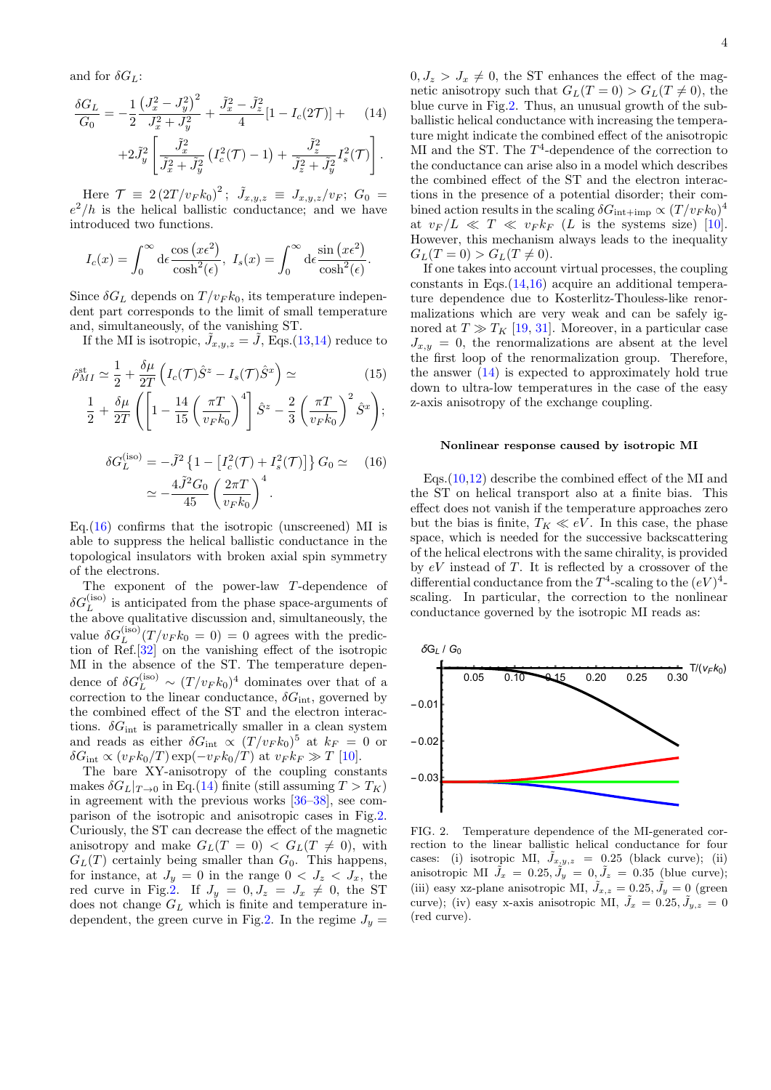and for  $\delta G_L$ :

<span id="page-3-0"></span>
$$
\frac{\delta G_L}{G_0} = -\frac{1}{2} \frac{\left(J_x^2 - J_y^2\right)^2}{J_x^2 + J_y^2} + \frac{\tilde{J}_x^2 - \tilde{J}_z^2}{4} [1 - I_c(2\mathcal{T})] + \qquad (14)
$$

$$
+ 2\tilde{J}_y^2 \left[ \frac{\tilde{J}_x^2}{\tilde{J}_x^2 + \tilde{J}_y^2} \left( I_c^2(\mathcal{T}) - 1 \right) + \frac{\tilde{J}_z^2}{\tilde{J}_z^2 + \tilde{J}_y^2} I_s^2(\mathcal{T}) \right].
$$

Here  $\mathcal{T} \equiv 2 \left(2T/v_F k_0\right)^2$ ;  $\tilde{J}_{x,y,z} \equiv J_{x,y,z}/v_F$ ;  $G_0 =$  $e^2/h$  is the helical ballistic conductance; and we have introduced two functions.

$$
I_c(x) = \int_0^\infty d\epsilon \frac{\cos(x\epsilon^2)}{\cosh^2(\epsilon)}, \ I_s(x) = \int_0^\infty d\epsilon \frac{\sin(x\epsilon^2)}{\cosh^2(\epsilon)}.
$$

Since  $\delta G_L$  depends on  $T/v_F k_0$ , its temperature independent part corresponds to the limit of small temperature and, simultaneously, of the vanishing ST.

If the MI is isotropic,  $\tilde{J}_{x,y,z} = \tilde{J}$ , Eqs.[\(13](#page-2-6)[,14\)](#page-3-0) reduce to

<span id="page-3-3"></span>
$$
\hat{\rho}_{MI}^{\text{st}} \simeq \frac{1}{2} + \frac{\delta \mu}{2T} \left( I_c(\mathcal{T}) \hat{S}^z - I_s(\mathcal{T}) \hat{S}^x \right) \simeq \qquad (15)
$$
\n
$$
\frac{1}{2} + \frac{\delta \mu}{2T} \left( \left[ 1 - \frac{14}{15} \left( \frac{\pi T}{v_F k_0} \right)^4 \right] \hat{S}^z - \frac{2}{3} \left( \frac{\pi T}{v_F k_0} \right)^2 \hat{S}^x \right);
$$
\n
$$
\delta G_L^{(\text{iso})} = -\tilde{J}^2 \left\{ 1 - \left[ I_c^2(\mathcal{T}) + I_s^2(\mathcal{T}) \right] \right\} G_0 \simeq \qquad (16)
$$
\n
$$
\simeq -\frac{4\tilde{J}^2 G_0}{45} \left( \frac{2\pi T}{v_F k_0} \right)^4.
$$

<span id="page-3-1"></span>Eq.  $(16)$  confirms that the isotropic (unscreened) MI is able to suppress the helical ballistic conductance in the topological insulators with broken axial spin symmetry of the electrons.

The exponent of the power-law T-dependence of  $\delta G_L^{\mathrm{(iso)}}$  is anticipated from the phase space-arguments of the above qualitative discussion and, simultaneously, the value  $\delta G_L^{(\text{iso})}(T/v_F k_0 = 0) = 0$  agrees with the prediction of Ref.[\[32\]](#page-5-13) on the vanishing effect of the isotropic MI in the absence of the ST. The temperature dependence of  $\delta G_L^{\text{(iso)}} \sim (T/v_F k_0)^4$  dominates over that of a correction to the linear conductance,  $\delta G_{\text{int}}$ , governed by the combined effect of the ST and the electron interactions.  $\delta G_{\text{int}}$  is parametrically smaller in a clean system and reads as either  $\delta G_{\text{int}} \propto (T/v_F k_0)^5$  at  $k_F = 0$  or  $\delta G_{\rm int} \propto (v_F k_0/T) \exp(-v_F k_0/T)$  at  $v_F k_F \gg T$  [\[10\]](#page-5-6).

The bare XY-anisotropy of the coupling constants makes  $\delta G_L|_{T\to 0}$  in Eq.[\(14\)](#page-3-0) finite (still assuming  $T > T_K$ ) in agreement with the previous works [\[36–](#page-5-19)[38\]](#page-6-0), see comparison of the isotropic and anisotropic cases in Fig[.2.](#page-3-2) Curiously, the ST can decrease the effect of the magnetic anisotropy and make  $G_L(T = 0) < G_L(T \neq 0)$ , with  $G_L(T)$  certainly being smaller than  $G_0$ . This happens, for instance, at  $J_y = 0$  in the range  $0 < J_z < J_x$ , the red curve in Fig[.2.](#page-3-2) If  $J_y = 0, J_z = J_x \neq 0$ , the ST does not change  $G_L$  which is finite and temperature in-dependent, the green curve in Fig[.2.](#page-3-2) In the regime  $J_y =$ 

 $0, J_z > J_x \neq 0$ , the ST enhances the effect of the magnetic anisotropy such that  $G_L(T=0) > G_L(T \neq 0)$ , the blue curve in Fig[.2.](#page-3-2) Thus, an unusual growth of the subballistic helical conductance with increasing the temperature might indicate the combined effect of the anisotropic MI and the ST. The  $T^4$ -dependence of the correction to the conductance can arise also in a model which describes the combined effect of the ST and the electron interactions in the presence of a potential disorder; their combined action results in the scaling  $\delta G_{\rm int+imp} \propto (T/v_F k_0)^4$ at  $v_F/L \ll T \ll v_F k_F$  (L is the systems size) [\[10\]](#page-5-6). However, this mechanism always leads to the inequality  $G_L(T = 0) > G_L(T \neq 0).$ 

If one takes into account virtual processes, the coupling constants in Eqs. $(14,16)$  $(14,16)$  acquire an additional temperature dependence due to Kosterlitz-Thouless-like renormalizations which are very weak and can be safely ignored at  $T \gg T_K$  [\[19,](#page-5-10) [31\]](#page-5-12). Moreover, in a particular case  $J_{x,y} = 0$ , the renormalizations are absent at the level the first loop of the renormalization group. Therefore, the answer  $(14)$  is expected to approximately hold true down to ultra-low temperatures in the case of the easy z-axis anisotropy of the exchange coupling.

### Nonlinear response caused by isotropic MI

Eqs.[\(10,](#page-2-5)[12\)](#page-2-7) describe the combined effect of the MI and the ST on helical transport also at a finite bias. This effect does not vanish if the temperature approaches zero but the bias is finite,  $T_K \ll eV$ . In this case, the phase space, which is needed for the successive backscattering of the helical electrons with the same chirality, is provided by  $eV$  instead of T. It is reflected by a crossover of the differential conductance from the  $T^4$ -scaling to the  $(eV)^4$ scaling. In particular, the correction to the nonlinear conductance governed by the isotropic MI reads as:



<span id="page-3-2"></span>FIG. 2. Temperature dependence of the MI-generated correction to the linear ballistic helical conductance for four cases: (i) isotropic MI,  $\tilde{J}_{x,y,z} = 0.25$  (black curve); (ii) anisotropic MI  $\tilde{J}_x = 0.25, \tilde{J}_y = 0, \tilde{J}_z = 0.35$  (blue curve); (iii) easy xz-plane anisotropic MI,  $\tilde{J}_{x,z} = 0.25, \tilde{J}_y = 0$  (green curve); (iv) easy x-axis anisotropic MI,  $\tilde{J}_x = 0.25, \tilde{J}_{y,z} = 0$ (red curve).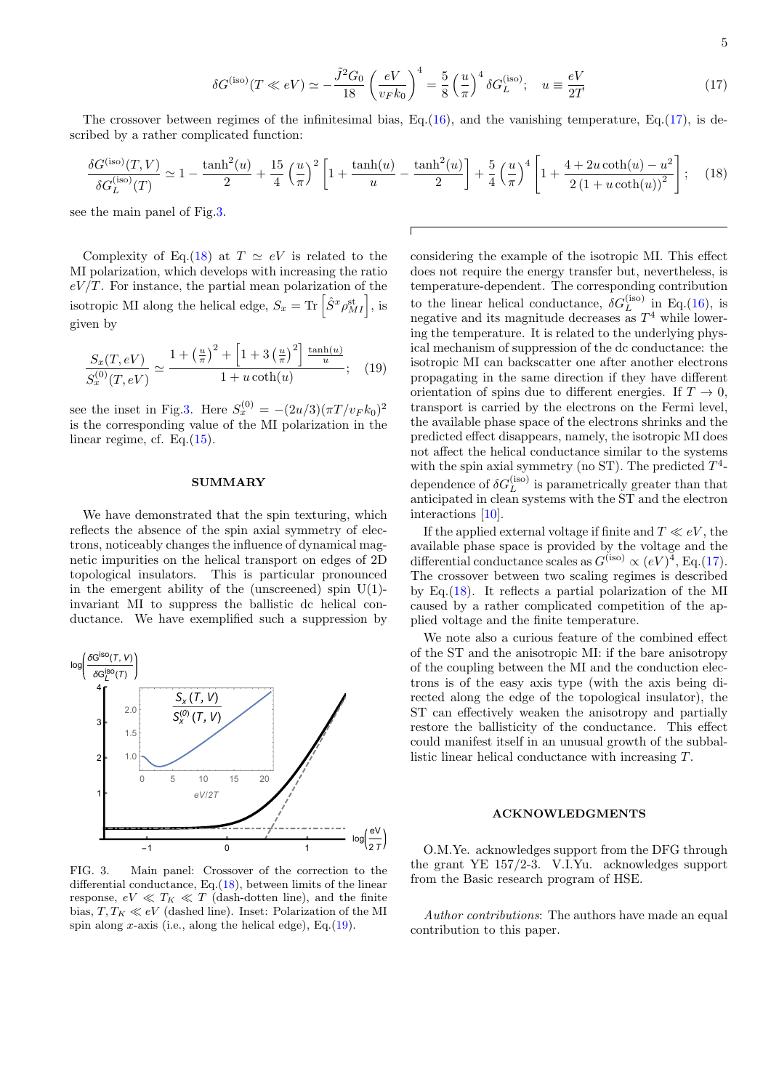<span id="page-4-0"></span>
$$
\delta G^{(\text{iso})}(T \ll eV) \simeq -\frac{\tilde{J}^2 G_0}{18} \left(\frac{eV}{v_F k_0}\right)^4 = \frac{5}{8} \left(\frac{u}{\pi}\right)^4 \delta G_L^{(\text{iso})}; \quad u \equiv \frac{eV}{2T}
$$
\n
$$
(17)
$$

The crossover between regimes of the infinitesimal bias, Eq. $(16)$ , and the vanishing temperature, Eq. $(17)$ , is described by a rather complicated function:

<span id="page-4-2"></span>
$$
\frac{\delta G^{(\text{iso})}(T,V)}{\delta G_L^{(\text{iso})}(T)} \simeq 1 - \frac{\tanh^2(u)}{2} + \frac{15}{4} \left(\frac{u}{\pi}\right)^2 \left[1 + \frac{\tanh(u)}{u} - \frac{\tanh^2(u)}{2}\right] + \frac{5}{4} \left(\frac{u}{\pi}\right)^4 \left[1 + \frac{4 + 2u \coth(u) - u^2}{2\left(1 + u \coth(u)\right)^2}\right];\tag{18}
$$

see the main panel of Fig[.3.](#page-4-1)

Complexity of Eq.[\(18\)](#page-4-2) at  $T \simeq eV$  is related to the MI polarization, which develops with increasing the ratio  $eV/T$ . For instance, the partial mean polarization of the isotropic MI along the helical edge,  $S_x = \text{Tr} \left[ \hat{S}^x \rho_{MI}^{\text{st}} \right]$ , is given by

<span id="page-4-3"></span>
$$
\frac{S_x(T, eV)}{S_x^{(0)}(T, eV)} \simeq \frac{1 + \left(\frac{u}{\pi}\right)^2 + \left[1 + 3\left(\frac{u}{\pi}\right)^2\right] \frac{\tanh(u)}{u}}{1 + u \coth(u)}; \quad (19)
$$

see the inset in Fig[.3.](#page-4-1) Here  $S_x^{(0)} = -(2u/3)(\pi T/v_F k_0)^2$ is the corresponding value of the MI polarization in the linear regime, cf. Eq.[\(15\)](#page-3-3).

### SUMMARY

We have demonstrated that the spin texturing, which reflects the absence of the spin axial symmetry of electrons, noticeably changes the influence of dynamical magnetic impurities on the helical transport on edges of 2D topological insulators. This is particular pronounced in the emergent ability of the (unscreened) spin  $U(1)$ invariant MI to suppress the ballistic dc helical conductance. We have exemplified such a suppression by



<span id="page-4-1"></span>FIG. 3. Main panel: Crossover of the correction to the differential conductance, Eq.[\(18\)](#page-4-2), between limits of the linear response,  $eV \ll T_K \ll T$  (dash-dotten line), and the finite bias,  $T, T_K \ll eV$  (dashed line). Inset: Polarization of the MI spin along x-axis (i.e., along the helical edge), Eq.  $(19)$ .

considering the example of the isotropic MI. This effect does not require the energy transfer but, nevertheless, is temperature-dependent. The corresponding contribution to the linear helical conductance,  $\delta G_L^{(\mathrm{iso})}$  in Eq.[\(16\)](#page-3-1), is negative and its magnitude decreases as  $T<sup>4</sup>$  while lowering the temperature. It is related to the underlying physical mechanism of suppression of the dc conductance: the isotropic MI can backscatter one after another electrons propagating in the same direction if they have different orientation of spins due to different energies. If  $T \to 0$ , transport is carried by the electrons on the Fermi level, the available phase space of the electrons shrinks and the predicted effect disappears, namely, the isotropic MI does not affect the helical conductance similar to the systems with the spin axial symmetry (no ST). The predicted  $T^4$ dependence of  $\delta G_L^{\text{(iso)}}$  is parametrically greater than that anticipated in clean systems with the ST and the electron interactions [\[10\]](#page-5-6).

If the applied external voltage if finite and  $T \ll eV$ , the available phase space is provided by the voltage and the differential conductance scales as  $G^{(iso)} \propto (eV)^4$ , Eq.[\(17\)](#page-4-0). The crossover between two scaling regimes is described by Eq.[\(18\)](#page-4-2). It reflects a partial polarization of the MI caused by a rather complicated competition of the applied voltage and the finite temperature.

We note also a curious feature of the combined effect of the ST and the anisotropic MI: if the bare anisotropy of the coupling between the MI and the conduction electrons is of the easy axis type (with the axis being directed along the edge of the topological insulator), the ST can effectively weaken the anisotropy and partially restore the ballisticity of the conductance. This effect could manifest itself in an unusual growth of the subballistic linear helical conductance with increasing T.

# ACKNOWLEDGMENTS

O.M.Ye. acknowledges support from the DFG through the grant YE 157/2-3. V.I.Yu. acknowledges support from the Basic research program of HSE.

Author contributions: The authors have made an equal contribution to this paper.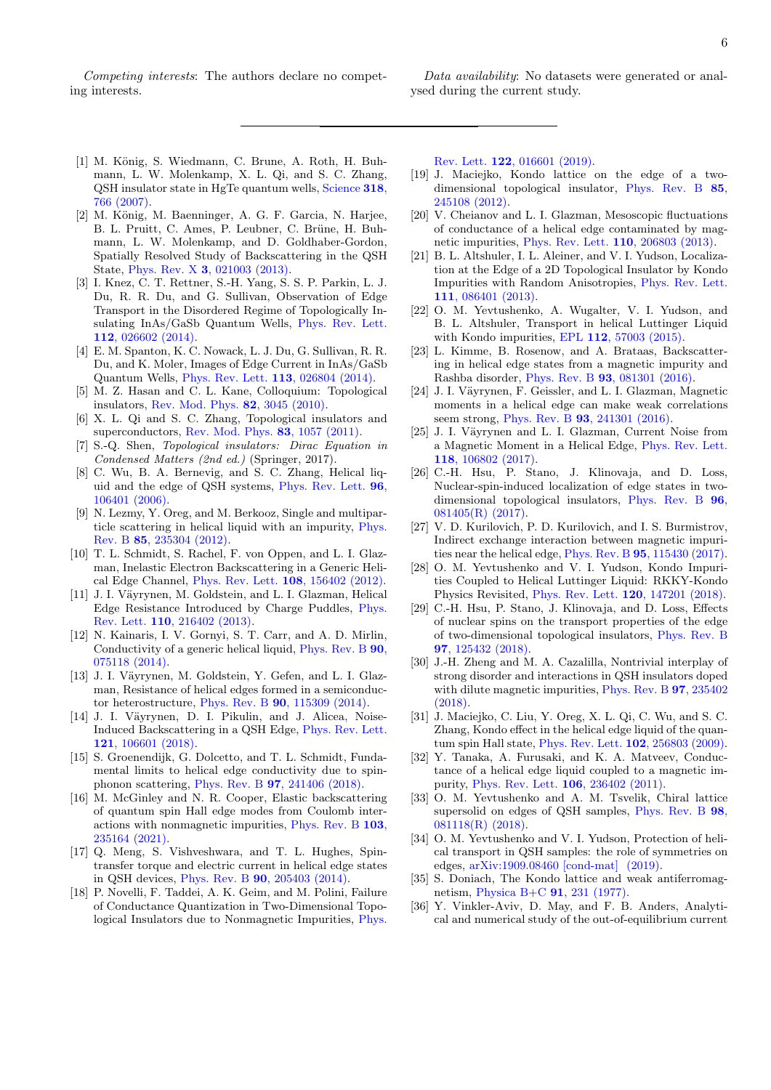Competing interests: The authors declare no competing interests.

Data availability: No datasets were generated or analysed during the current study.

- <span id="page-5-0"></span>[1] M. König, S. Wiedmann, C. Brune, A. Roth, H. Buhmann, L. W. Molenkamp, X. L. Qi, and S. C. Zhang, QSH insulator state in HgTe quantum wells, [Science](https://doi.org/10.1126/science.1148047) 318, [766 \(2007\).](https://doi.org/10.1126/science.1148047)
- [2] M. König, M. Baenninger, A. G. F. Garcia, N. Harjee, B. L. Pruitt, C. Ames, P. Leubner, C. Brüne, H. Buhmann, L. W. Molenkamp, and D. Goldhaber-Gordon, Spatially Resolved Study of Backscattering in the QSH State, Phys. Rev. X 3[, 021003 \(2013\).](https://doi.org/10.1103/PhysRevX.3.021003)
- [3] I. Knez, C. T. Rettner, S.-H. Yang, S. S. P. Parkin, L. J. Du, R. R. Du, and G. Sullivan, Observation of Edge Transport in the Disordered Regime of Topologically Insulating InAs/GaSb Quantum Wells, [Phys. Rev. Lett.](https://doi.org/10.1103/PhysRevLett.112.026602) 112[, 026602 \(2014\).](https://doi.org/10.1103/PhysRevLett.112.026602)
- <span id="page-5-1"></span>[4] E. M. Spanton, K. C. Nowack, L. J. Du, G. Sullivan, R. R. Du, and K. Moler, Images of Edge Current in InAs/GaSb Quantum Wells, [Phys. Rev. Lett.](https://doi.org/10.1103/PhysRevLett.113.026804) 113, 026804 (2014).
- <span id="page-5-2"></span>[5] M. Z. Hasan and C. L. Kane, Colloquium: Topological insulators, [Rev. Mod. Phys.](https://doi.org/10.1103/RevModPhys.82.3045) 82, 3045 (2010).
- [6] X. L. Qi and S. C. Zhang, Topological insulators and superconductors, [Rev. Mod. Phys.](https://doi.org/10.1103/RevModPhys.83.1057) 83, 1057 (2011).
- <span id="page-5-3"></span>[7] S.-Q. Shen, Topological insulators: Dirac Equation in Condensed Matters (2nd ed.) (Springer, 2017).
- <span id="page-5-4"></span>[8] C. Wu, B. A. Bernevig, and S. C. Zhang, Helical liquid and the edge of QSH systems, [Phys. Rev. Lett.](https://doi.org/10.1103/PhysRevLett.96.106401) 96, [106401 \(2006\).](https://doi.org/10.1103/PhysRevLett.96.106401)
- <span id="page-5-5"></span>[9] N. Lezmy, Y. Oreg, and M. Berkooz, Single and multiparticle scattering in helical liquid with an impurity, [Phys.](https://doi.org/10.1103/PhysRevB.85.235304) Rev. B 85[, 235304 \(2012\).](https://doi.org/10.1103/PhysRevB.85.235304)
- <span id="page-5-6"></span>[10] T. L. Schmidt, S. Rachel, F. von Oppen, and L. I. Glazman, Inelastic Electron Backscattering in a Generic Helical Edge Channel, [Phys. Rev. Lett.](https://doi.org/10.1103/PhysRevLett.108.156402) 108, 156402 (2012).
- [11] J. I. Väyrynen, M. Goldstein, and L. I. Glazman, Helical Edge Resistance Introduced by Charge Puddles, [Phys.](https://doi.org/10.1103/PhysRevLett.110.216402) Rev. Lett. 110[, 216402 \(2013\).](https://doi.org/10.1103/PhysRevLett.110.216402)
- <span id="page-5-20"></span>[12] N. Kainaris, I. V. Gornyi, S. T. Carr, and A. D. Mirlin, Conductivity of a generic helical liquid, [Phys. Rev. B](https://doi.org/10.1103/PhysRevB.90.075118) 90, [075118 \(2014\).](https://doi.org/10.1103/PhysRevB.90.075118)
- [13] J. I. Väyrynen, M. Goldstein, Y. Gefen, and L. I. Glazman, Resistance of helical edges formed in a semiconductor heterostructure, Phys. Rev. B 90[, 115309 \(2014\).](https://doi.org/10.1103/PhysRevB.90.115309)
- <span id="page-5-21"></span>[14] J. I. Väyrynen, D. I. Pikulin, and J. Alicea, Noise-Induced Backscattering in a QSH Edge, [Phys. Rev. Lett.](https://doi.org/10.1103/PhysRevLett.121.106601) 121[, 106601 \(2018\).](https://doi.org/10.1103/PhysRevLett.121.106601)
- [15] S. Groenendijk, G. Dolcetto, and T. L. Schmidt, Fundamental limits to helical edge conductivity due to spinphonon scattering, Phys. Rev. B 97[, 241406 \(2018\).](https://doi.org/10.1103/PhysRevB.97.241406)
- <span id="page-5-7"></span>[16] M. McGinley and N. R. Cooper, Elastic backscattering of quantum spin Hall edge modes from Coulomb interactions with nonmagnetic impurities, [Phys. Rev. B](https://doi.org/10.1103/PhysRevB.103.235164) 103, [235164 \(2021\).](https://doi.org/10.1103/PhysRevB.103.235164)
- <span id="page-5-8"></span>[17] Q. Meng, S. Vishveshwara, and T. L. Hughes, Spintransfer torque and electric current in helical edge states in QSH devices, Phys. Rev. B 90[, 205403 \(2014\).](https://doi.org/10.1103/PhysRevB.90.205403)
- <span id="page-5-9"></span>[18] P. Novelli, F. Taddei, A. K. Geim, and M. Polini, Failure of Conductance Quantization in Two-Dimensional Topological Insulators due to Nonmagnetic Impurities, [Phys.](https://doi.org/10.1103/PhysRevLett.122.016601)

Rev. Lett. 122[, 016601 \(2019\).](https://doi.org/10.1103/PhysRevLett.122.016601)

- <span id="page-5-10"></span>[19] J. Maciejko, Kondo lattice on the edge of a twodimensional topological insulator, [Phys. Rev. B](https://doi.org/10.1103/PhysRevB.85.245108) 85, [245108 \(2012\).](https://doi.org/10.1103/PhysRevB.85.245108)
- [20] V. Cheianov and L. I. Glazman, Mesoscopic fluctuations of conductance of a helical edge contaminated by magnetic impurities, [Phys. Rev. Lett.](https://doi.org/10.1103/PhysRevLett.110.206803) 110, 206803 (2013).
- <span id="page-5-14"></span>[21] B. L. Altshuler, I. L. Aleiner, and V. I. Yudson, Localization at the Edge of a 2D Topological Insulator by Kondo Impurities with Random Anisotropies, [Phys. Rev. Lett.](https://doi.org/10.1103/PhysRevLett.111.086401) 111[, 086401 \(2013\).](https://doi.org/10.1103/PhysRevLett.111.086401)
- <span id="page-5-15"></span>[22] O. M. Yevtushenko, A. Wugalter, V. I. Yudson, and B. L. Altshuler, Transport in helical Luttinger Liquid with Kondo impurities, EPL 112[, 57003 \(2015\).](https://doi.org/10.1209/0295-5075/112/57003)
- [23] L. Kimme, B. Rosenow, and A. Brataas, Backscattering in helical edge states from a magnetic impurity and Rashba disorder, Phys. Rev. B 93[, 081301 \(2016\).](https://doi.org/10.1103/PhysRevB.93.081301)
- [24] J. I. Väyrynen, F. Geissler, and L. I. Glazman, Magnetic moments in a helical edge can make weak correlations seem strong, Phys. Rev. B 93[, 241301 \(2016\).](https://doi.org/10.1103/PhysRevB.93.241301)
- [25] J. I. Väyrynen and L. I. Glazman, Current Noise from a Magnetic Moment in a Helical Edge, [Phys. Rev. Lett.](https://doi.org/10.1103/PhysRevLett.118.106802) 118[, 106802 \(2017\).](https://doi.org/10.1103/PhysRevLett.118.106802)
- [26] C.-H. Hsu, P. Stano, J. Klinovaja, and D. Loss, Nuclear-spin-induced localization of edge states in twodimensional topological insulators, [Phys. Rev. B](https://doi.org/10.1103/PhysRevB.96.081405) 96, [081405\(R\) \(2017\).](https://doi.org/10.1103/PhysRevB.96.081405)
- [27] V. D. Kurilovich, P. D. Kurilovich, and I. S. Burmistrov, Indirect exchange interaction between magnetic impurities near the helical edge, Phys. Rev. B 95[, 115430 \(2017\).](https://doi.org/10.1103/PhysRevB.95.115430)
- [28] O. M. Yevtushenko and V. I. Yudson, Kondo Impurities Coupled to Helical Luttinger Liquid: RKKY-Kondo Physics Revisited, [Phys. Rev. Lett.](https://doi.org/10.1103/PhysRevLett.120.147201) 120, 147201 (2018).
- [29] C.-H. Hsu, P. Stano, J. Klinovaja, and D. Loss, Effects of nuclear spins on the transport properties of the edge of two-dimensional topological insulators, [Phys. Rev. B](https://doi.org/10.1103/PhysRevB.97.125432) 97[, 125432 \(2018\).](https://doi.org/10.1103/PhysRevB.97.125432)
- <span id="page-5-11"></span>[30] J.-H. Zheng and M. A. Cazalilla, Nontrivial interplay of strong disorder and interactions in QSH insulators doped with dilute magnetic impurities, [Phys. Rev. B](https://doi.org/10.1103/PhysRevB.97.235402) **97**, 235402 [\(2018\).](https://doi.org/10.1103/PhysRevB.97.235402)
- <span id="page-5-12"></span>[31] J. Maciejko, C. Liu, Y. Oreg, X. L. Qi, C. Wu, and S. C. Zhang, Kondo effect in the helical edge liquid of the quantum spin Hall state, [Phys. Rev. Lett.](https://doi.org/10.1103/PhysRevLett.102.256803) 102, 256803 (2009).
- <span id="page-5-13"></span>[32] Y. Tanaka, A. Furusaki, and K. A. Matveev, Conductance of a helical edge liquid coupled to a magnetic impurity, [Phys. Rev. Lett.](https://doi.org/10.1103/PhysRevLett.106.236402) 106, 236402 (2011).
- <span id="page-5-16"></span>[33] O. M. Yevtushenko and A. M. Tsvelik, Chiral lattice supersolid on edges of QSH samples, [Phys. Rev. B](https://doi.org/10.1103/PhysRevB.98.081118) 98, [081118\(R\) \(2018\).](https://doi.org/10.1103/PhysRevB.98.081118)
- <span id="page-5-17"></span>[34] O. M. Yevtushenko and V. I. Yudson, Protection of helical transport in QSH samples: the role of symmetries on edges, [arXiv:1909.08460 \[cond-mat\] \(2019\).](http://arxiv.org/abs/1909.08460)
- <span id="page-5-18"></span>[35] S. Doniach, The Kondo lattice and weak antiferromagnetism, [Physica B+C](https://doi.org/10.1016/0378-4363(77)90190-5) 91, 231 (1977).
- <span id="page-5-19"></span>[36] Y. Vinkler-Aviv, D. May, and F. B. Anders, Analytical and numerical study of the out-of-equilibrium current